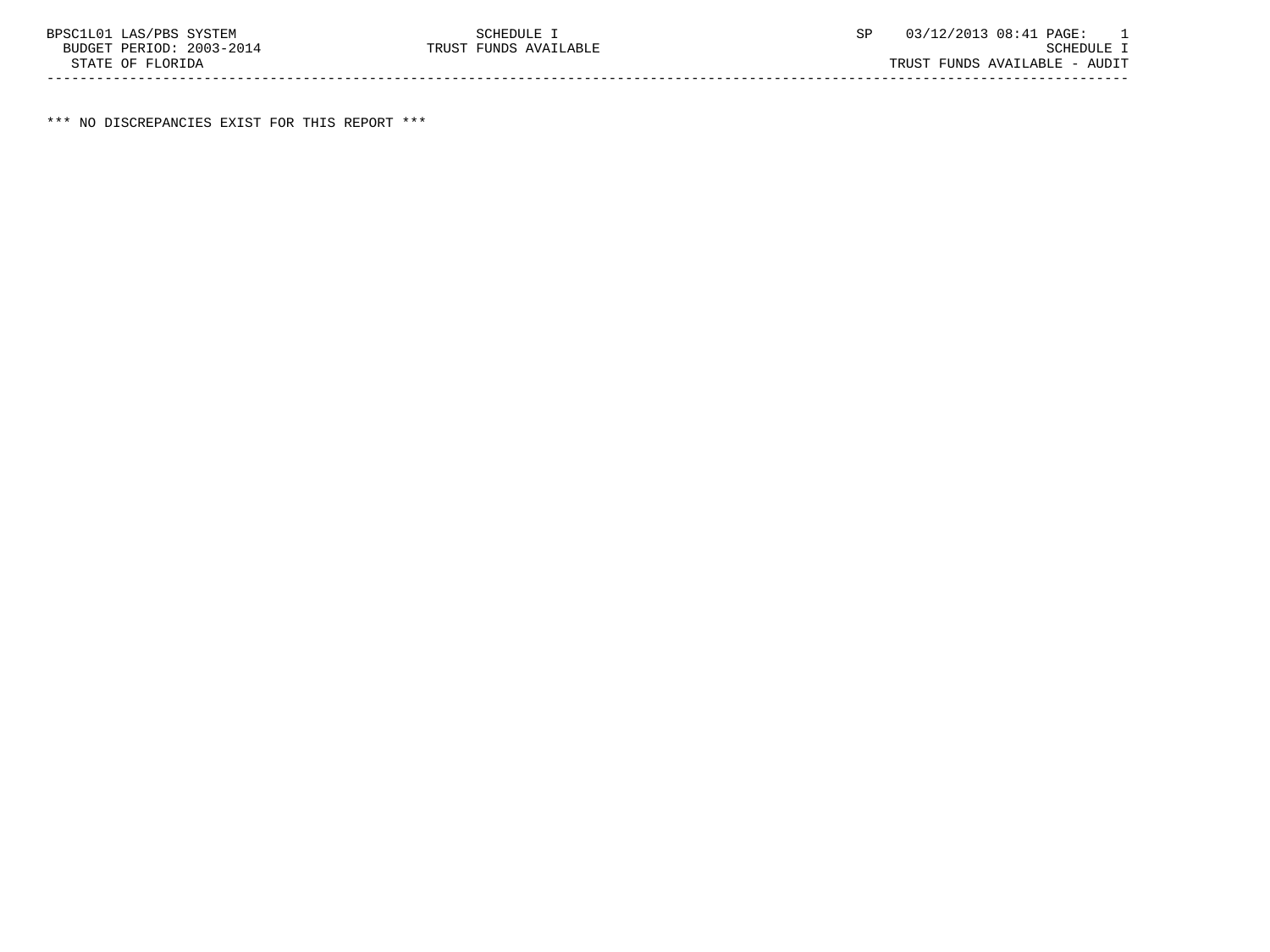\*\*\* NO DISCREPANCIES EXIST FOR THIS REPORT \*\*\*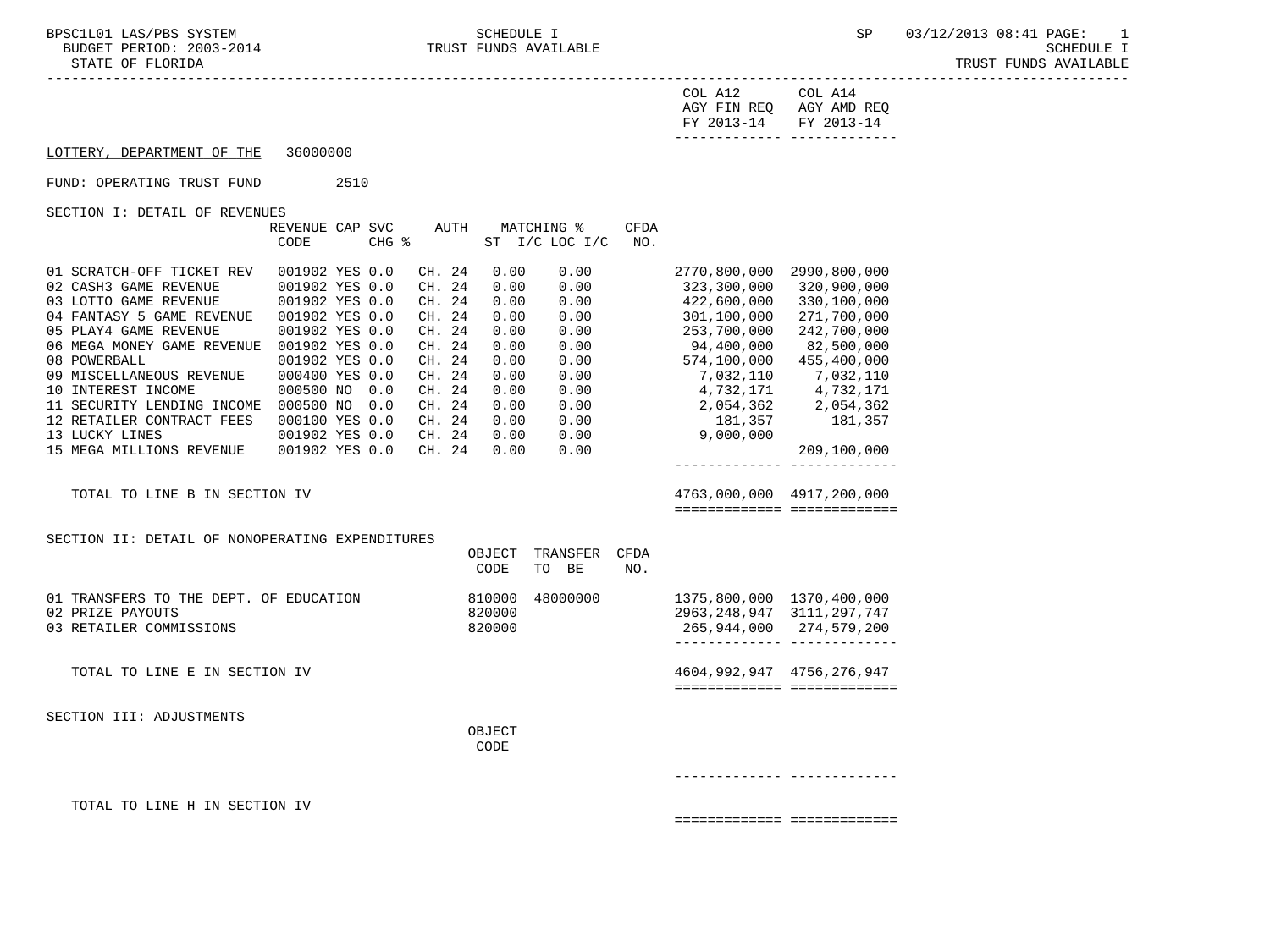| STATE OF FLORIDA                                                                                                                                                                                                                                                                                                                                                                                         |                                                                                                                                                                                                   |      |       |  |                                                                                                                                |                                                                                                      |                                                                                                      |                                                               |                                                                                                                                                                             |                                                                                                                                                                                                                                                  | TRUST FUNDS AVAILABLE |
|----------------------------------------------------------------------------------------------------------------------------------------------------------------------------------------------------------------------------------------------------------------------------------------------------------------------------------------------------------------------------------------------------------|---------------------------------------------------------------------------------------------------------------------------------------------------------------------------------------------------|------|-------|--|--------------------------------------------------------------------------------------------------------------------------------|------------------------------------------------------------------------------------------------------|------------------------------------------------------------------------------------------------------|---------------------------------------------------------------|-----------------------------------------------------------------------------------------------------------------------------------------------------------------------------|--------------------------------------------------------------------------------------------------------------------------------------------------------------------------------------------------------------------------------------------------|-----------------------|
|                                                                                                                                                                                                                                                                                                                                                                                                          |                                                                                                                                                                                                   |      |       |  |                                                                                                                                |                                                                                                      |                                                                                                      |                                                               | COL A12<br>FY 2013-14 FY 2013-14                                                                                                                                            | COL A14<br>AGY FIN REQ AGY AMD REQ                                                                                                                                                                                                               |                       |
| LOTTERY, DEPARTMENT OF THE                                                                                                                                                                                                                                                                                                                                                                               | 36000000                                                                                                                                                                                          |      |       |  |                                                                                                                                |                                                                                                      |                                                                                                      |                                                               |                                                                                                                                                                             |                                                                                                                                                                                                                                                  |                       |
| FUND: OPERATING TRUST FUND                                                                                                                                                                                                                                                                                                                                                                               |                                                                                                                                                                                                   | 2510 |       |  |                                                                                                                                |                                                                                                      |                                                                                                      |                                                               |                                                                                                                                                                             |                                                                                                                                                                                                                                                  |                       |
| SECTION I: DETAIL OF REVENUES                                                                                                                                                                                                                                                                                                                                                                            | REVENUE CAP SVC<br>CODE                                                                                                                                                                           |      | CHG % |  | AUTH                                                                                                                           |                                                                                                      | MATCHING %<br>$ST$ $I/C$ LOC $I/C$                                                                   | <b>CFDA</b><br>NO.                                            |                                                                                                                                                                             |                                                                                                                                                                                                                                                  |                       |
| 01 SCRATCH-OFF TICKET REV<br>02 CASH3 GAME REVENUE<br>03 LOTTO GAME REVENUE<br>04 FANTASY 5 GAME REVENUE<br>05 PLAY4 GAME REVENUE<br>06 MEGA MONEY GAME REVENUE 001902 YES 0.0<br>08 POWERBALL<br>09 MISCELLANEOUS REVENUE<br>10 INTEREST INCOME<br>11 SECURITY LENDING INCOME 000500 NO 0.0<br>12 RETAILER CONTRACT FEES<br>13 LUCKY LINES<br>15 MEGA MILLIONS REVENUE<br>TOTAL TO LINE B IN SECTION IV | 001902 YES 0.0<br>001902 YES 0.0<br>001902 YES 0.0<br>001902 YES 0.0<br>001902 YES 0.0<br>001902 YES 0.0<br>000400 YES 0.0<br>000500 NO 0.0<br>000100 YES 0.0<br>001902 YES 0.0<br>001902 YES 0.0 |      |       |  | CH. 24<br>CH. 24<br>CH. 24<br>CH. 24<br>CH. 24<br>CH. 24<br>CH. 24<br>CH. 24<br>CH. 24<br>CH. 24<br>CH. 24<br>CH. 24<br>CH. 24 | 0.00<br>0.00<br>0.00<br>0.00<br>0.00<br>0.00<br>0.00<br>0.00<br>0.00<br>0.00<br>0.00<br>0.00<br>0.00 | 0.00<br>0.00<br>0.00<br>0.00<br>0.00<br>0.00<br>0.00<br>0.00<br>0.00<br>0.00<br>0.00<br>0.00<br>0.00 |                                                               | 323,300,000<br>422,600,000<br>301,100,000<br>253,700,000<br>94,400,000<br>574,100,000<br>7,032,110<br>4,732,171<br>2,054,362<br>9,004,362 - 181,357<br>- 181,357<br>- 9,000 | 2770,800,000 2990,800,000<br>320,900,000<br>330,100,000<br>271,700,000<br>242,700,000<br>82,500,000<br>455,400,000<br>7,032,110<br>4,732,171<br>2,054,362<br>181,357<br>209,100,000<br>-------------- -------------<br>4763,000,000 4917,200,000 |                       |
|                                                                                                                                                                                                                                                                                                                                                                                                          |                                                                                                                                                                                                   |      |       |  |                                                                                                                                |                                                                                                      |                                                                                                      |                                                               |                                                                                                                                                                             | ============================                                                                                                                                                                                                                     |                       |
| SECTION II: DETAIL OF NONOPERATING EXPENDITURES                                                                                                                                                                                                                                                                                                                                                          |                                                                                                                                                                                                   |      |       |  |                                                                                                                                | OBJECT<br>CODE                                                                                       | TRANSFER<br>TO BE                                                                                    | CFDA<br>NO.                                                   |                                                                                                                                                                             |                                                                                                                                                                                                                                                  |                       |
| 01 TRANSFERS TO THE DEPT. OF EDUCATION<br>02 PRIZE PAYOUTS<br>03 RETAILER COMMISSIONS                                                                                                                                                                                                                                                                                                                    |                                                                                                                                                                                                   |      |       |  | 810000<br>820000<br>820000                                                                                                     | 48000000                                                                                             |                                                                                                      | 1375,800,000 1370,400,000<br>2963, 248, 947 3111, 297, 747    | 265,944,000 274,579,200<br>_______________________________                                                                                                                  |                                                                                                                                                                                                                                                  |                       |
| TOTAL TO LINE E IN SECTION IV                                                                                                                                                                                                                                                                                                                                                                            |                                                                                                                                                                                                   |      |       |  |                                                                                                                                |                                                                                                      |                                                                                                      | 4604, 992, 947 4756, 276, 947<br>============================ |                                                                                                                                                                             |                                                                                                                                                                                                                                                  |                       |
| SECTION III: ADJUSTMENTS                                                                                                                                                                                                                                                                                                                                                                                 |                                                                                                                                                                                                   |      |       |  |                                                                                                                                | OBJECT<br>CODE                                                                                       |                                                                                                      |                                                               |                                                                                                                                                                             |                                                                                                                                                                                                                                                  |                       |

------------- -------------

TOTAL TO LINE H IN SECTION IV

============= =============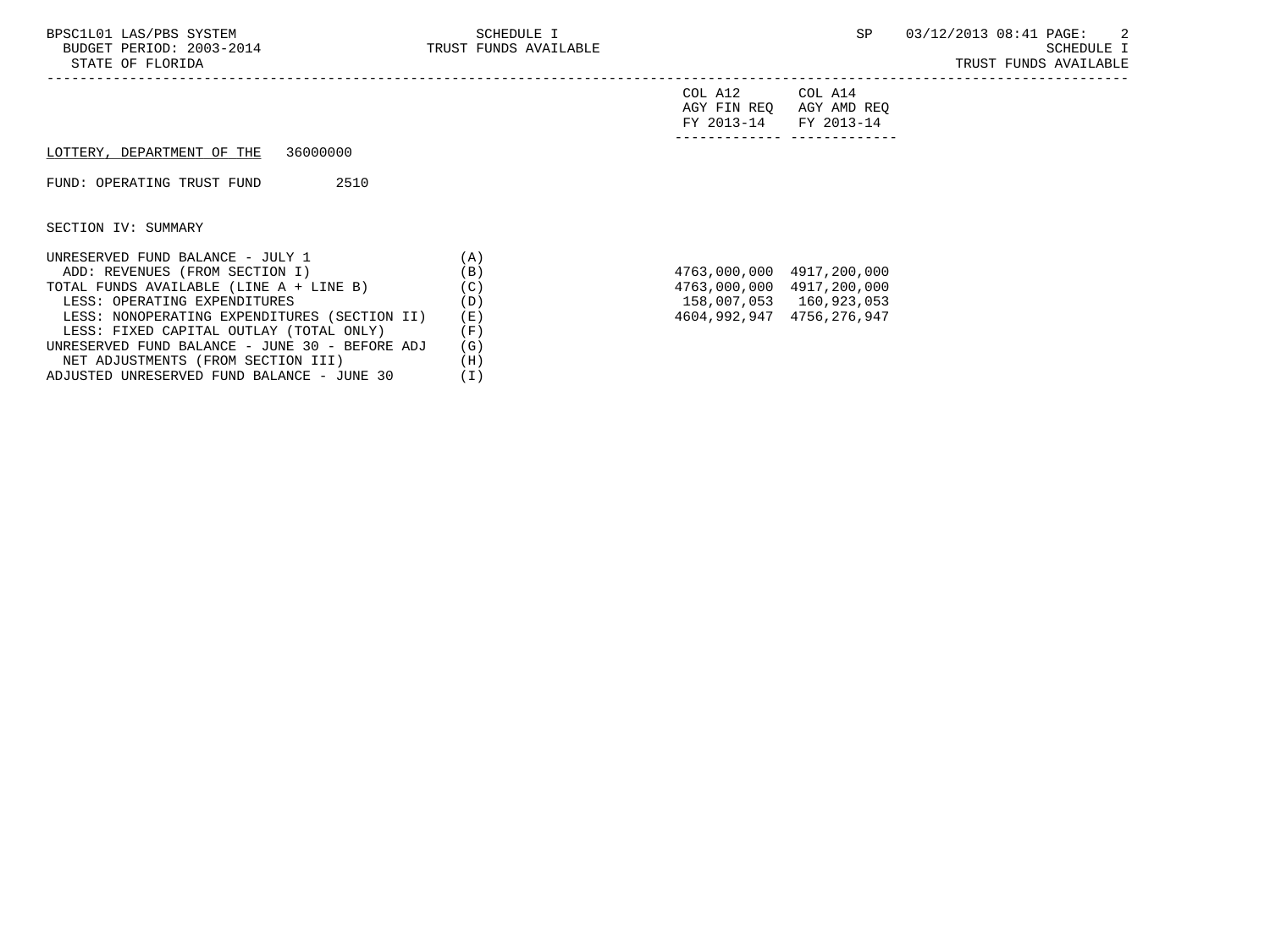| FY 2013-14 FY 2013-14 |                         |
|-----------------------|-------------------------|
|                       | AGY FIN REQ AGY AMD REQ |
| COL A12               | COL A14                 |

## LOTTERY, DEPARTMENT OF THE 36000000

FUND: OPERATING TRUST FUND 2510

SECTION IV: SUMMARY

| UNRESERVED FUND BALANCE - JULY 1               | ΄A  |                           |              |
|------------------------------------------------|-----|---------------------------|--------------|
| ADD: REVENUES (FROM SECTION I)                 | (B) | 4763,000,000 4917,200,000 |              |
| TOTAL FUNDS AVAILABLE (LINE A + LINE B)        | (C) | 4763,000,000              | 4917,200,000 |
| LESS: OPERATING EXPENDITURES                   | (D) | 158,007,053               | 160,923,053  |
| LESS: NONOPERATING EXPENDITURES (SECTION II)   | (E) | 4604,992,947              | 4756,276,947 |
| LESS: FIXED CAPITAL OUTLAY (TOTAL ONLY)        | F)  |                           |              |
| UNRESERVED FUND BALANCE - JUNE 30 - BEFORE ADJ | (G) |                           |              |
| NET ADJUSTMENTS (FROM SECTION III)             | Ή   |                           |              |
| ADJUSTED UNRESERVED FUND BALANCE - JUNE 30     |     |                           |              |

| 4763,000,000 | 4917,200,000 |
|--------------|--------------|
| 4763,000,000 | 4917,200,000 |
| 158,007,053  | 160,923,053  |
| 4604,992,947 | 4756,276,947 |